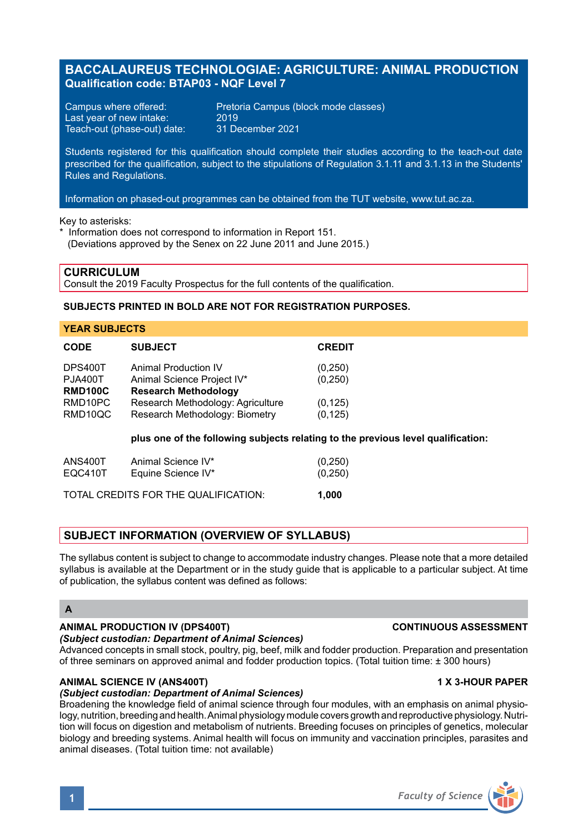# **BACCALAUREUS TECHNOLOGIAE: AGRICULTURE: ANIMAL PRODUCTION Qualification code: BTAP03 - NQF Level 7**

Last year of new intake: 2019<br>Teach-out (phase-out) date: 31 December 2021 Teach-out (phase-out) date:

Campus where offered: Pretoria Campus (block mode classes)<br>Last year of new intake: 2019

Students registered for this qualification should complete their studies according to the teach-out date prescribed for the qualification, subject to the stipulations of Regulation 3.1.11 and 3.1.13 in the Students' Rules and Regulations.

Information on phased-out programmes can be obtained from the TUT website, www.tut.ac.za.

Key to asterisks:

\* Information does not correspond to information in Report 151. (Deviations approved by the Senex on 22 June 2011 and June 2015.)

**CURRICULUM** Consult the 2019 Faculty Prospectus for the full contents of the qualification.

### **SUBJECTS PRINTED IN BOLD ARE NOT FOR REGISTRATION PURPOSES.**

### **YEAR SUBJECTS**

| <b>CODE</b>    | <b>SUBJECT</b>                    | <b>CREDIT</b> |
|----------------|-----------------------------------|---------------|
| DPS400T        | <b>Animal Production IV</b>       | (0,250)       |
| <b>PJA400T</b> | Animal Science Project IV*        | (0, 250)      |
| <b>RMD100C</b> | <b>Research Methodology</b>       |               |
| RMD10PC        | Research Methodology: Agriculture | (0, 125)      |
| RMD10QC        | Research Methodology: Biometry    | (0, 125)      |
|                |                                   |               |

**plus one of the following subjects relating to the previous level qualification:**

| ANS400T | Animal Science IV*                   | (0, 250) |
|---------|--------------------------------------|----------|
| EQC410T | Equine Science IV*                   | (0, 250) |
|         | TOTAL CREDITS FOR THE QUALIFICATION: | 1.000    |

## **SUBJECT INFORMATION (OVERVIEW OF SYLLABUS)**

The syllabus content is subject to change to accommodate industry changes. Please note that a more detailed syllabus is available at the Department or in the study quide that is applicable to a particular subject. At time of publication, the syllabus content was defined as follows:

## **A**

# **ANIMAL PRODUCTION IV (DPS400T) CONTINUOUS ASSESSMENT**

*(Subject custodian: Department of Animal Sciences)* Advanced concepts in small stock, poultry, pig, beef, milk and fodder production. Preparation and presentation of three seminars on approved animal and fodder production topics. (Total tuition time: ± 300 hours)

## **ANIMAL SCIENCE IV (ANS400T) 1 X 3-HOUR PAPER**

# *(Subject custodian: Department of Animal Sciences)*

Broadening the knowledge field of animal science through four modules, with an emphasis on animal physiology, nutrition, breeding and health. Animal physiology module covers growth and reproductive physiology. Nutrition will focus on digestion and metabolism of nutrients. Breeding focuses on principles of genetics, molecular biology and breeding systems. Animal health will focus on immunity and vaccination principles, parasites and animal diseases. (Total tuition time: not available)